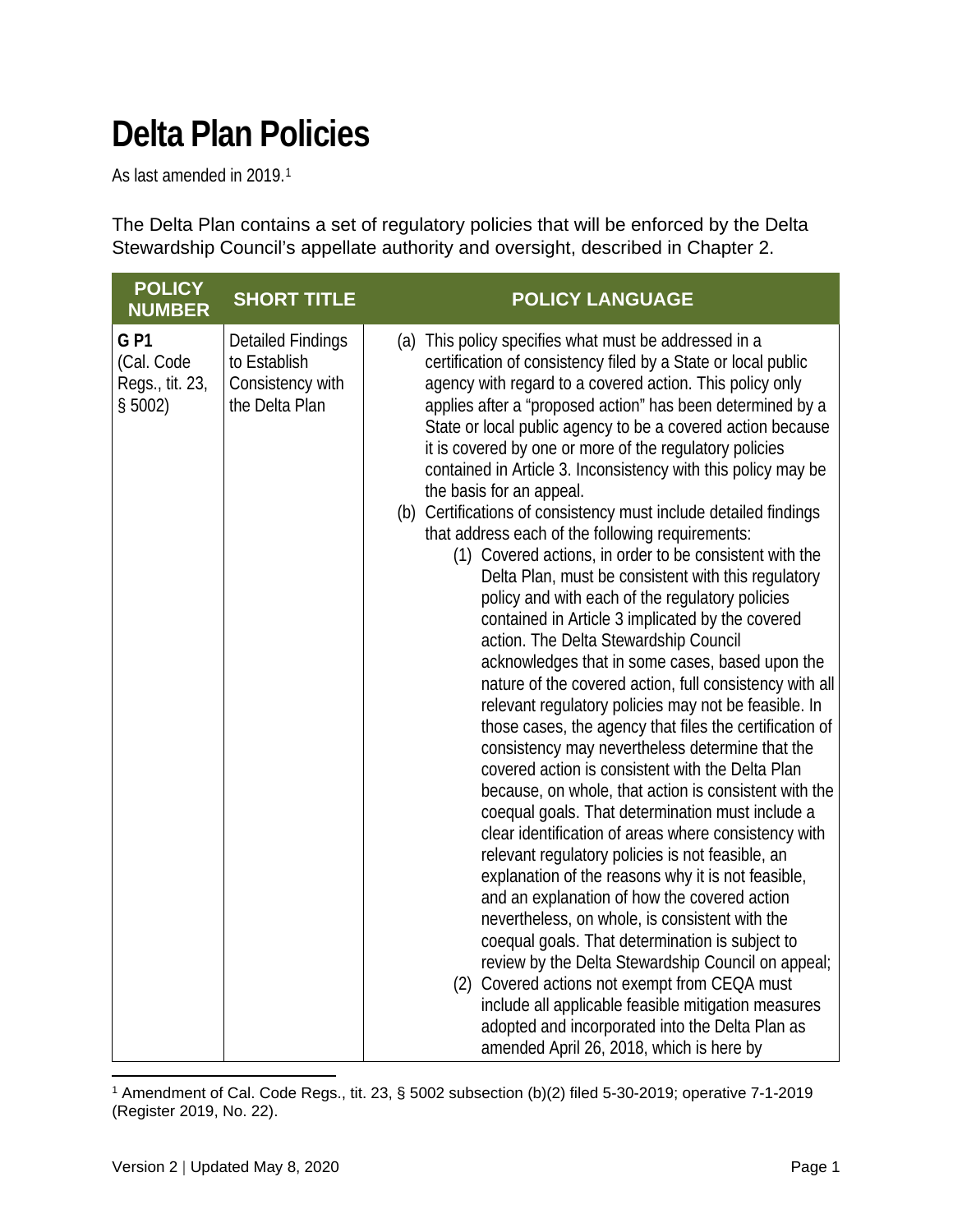## **Delta Plan Policies**

As last amended in 2019.[1](#page-0-0)

The Delta Plan contains a set of regulatory policies that will be enforced by the Delta Stewardship Council's appellate authority and oversight, described in Chapter 2.

| <b>POLICY</b><br><b>NUMBER</b>                           | <b>SHORT TITLE</b>                                                             | <b>POLICY LANGUAGE</b>                                                                                                                                                                                                                                                                                                                                                                                                                                                                                                                                                                                                                                                                                                                                                                                                                                                                                                                                                                                                                                                                                                                                                                                                                                                                                                                                                                                                                                                                                                                                                                                                                                                                                                                                                                                                                                                                                     |
|----------------------------------------------------------|--------------------------------------------------------------------------------|------------------------------------------------------------------------------------------------------------------------------------------------------------------------------------------------------------------------------------------------------------------------------------------------------------------------------------------------------------------------------------------------------------------------------------------------------------------------------------------------------------------------------------------------------------------------------------------------------------------------------------------------------------------------------------------------------------------------------------------------------------------------------------------------------------------------------------------------------------------------------------------------------------------------------------------------------------------------------------------------------------------------------------------------------------------------------------------------------------------------------------------------------------------------------------------------------------------------------------------------------------------------------------------------------------------------------------------------------------------------------------------------------------------------------------------------------------------------------------------------------------------------------------------------------------------------------------------------------------------------------------------------------------------------------------------------------------------------------------------------------------------------------------------------------------------------------------------------------------------------------------------------------------|
| <b>GP1</b><br>(Cal. Code<br>Regs., tit. 23,<br>$$5002$ ) | <b>Detailed Findings</b><br>to Establish<br>Consistency with<br>the Delta Plan | (a) This policy specifies what must be addressed in a<br>certification of consistency filed by a State or local public<br>agency with regard to a covered action. This policy only<br>applies after a "proposed action" has been determined by a<br>State or local public agency to be a covered action because<br>it is covered by one or more of the regulatory policies<br>contained in Article 3. Inconsistency with this policy may be<br>the basis for an appeal.<br>(b) Certifications of consistency must include detailed findings<br>that address each of the following requirements:<br>(1) Covered actions, in order to be consistent with the<br>Delta Plan, must be consistent with this regulatory<br>policy and with each of the regulatory policies<br>contained in Article 3 implicated by the covered<br>action. The Delta Stewardship Council<br>acknowledges that in some cases, based upon the<br>nature of the covered action, full consistency with all<br>relevant regulatory policies may not be feasible. In<br>those cases, the agency that files the certification of<br>consistency may nevertheless determine that the<br>covered action is consistent with the Delta Plan<br>because, on whole, that action is consistent with the<br>coequal goals. That determination must include a<br>clear identification of areas where consistency with<br>relevant regulatory policies is not feasible, an<br>explanation of the reasons why it is not feasible,<br>and an explanation of how the covered action<br>nevertheless, on whole, is consistent with the<br>coequal goals. That determination is subject to<br>review by the Delta Stewardship Council on appeal;<br>(2) Covered actions not exempt from CEQA must<br>include all applicable feasible mitigation measures<br>adopted and incorporated into the Delta Plan as<br>amended April 26, 2018, which is here by |

<span id="page-0-0"></span><sup>1</sup> Amendment of Cal. Code Regs., tit. 23, § 5002 subsection (b)(2) filed 5-30-2019; operative 7-1-2019 (Register 2019, No. 22).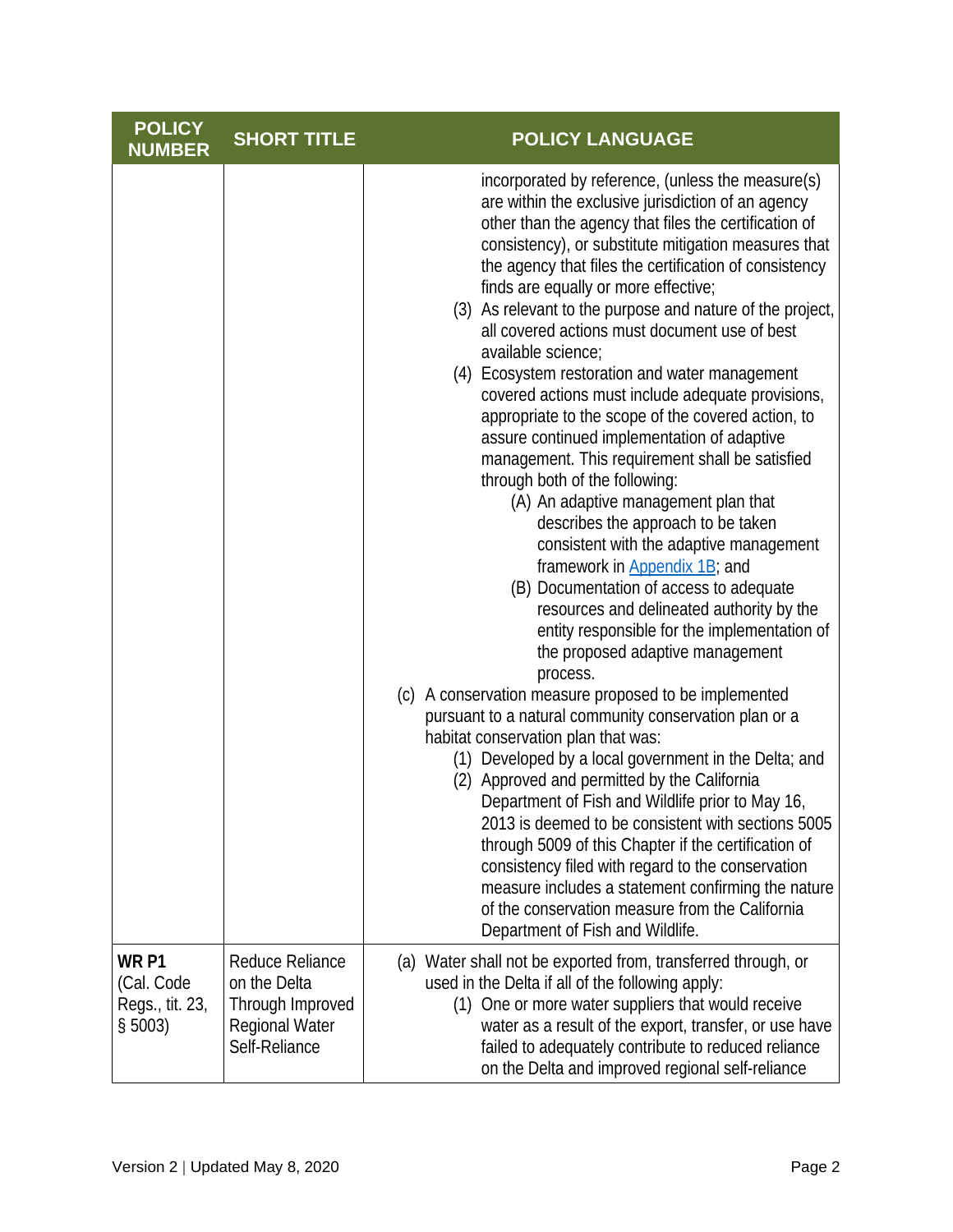| <b>POLICY</b><br><b>NUMBER</b>                               | <b>SHORT TITLE</b>                                                                            | <b>POLICY LANGUAGE</b>                                                                                                                                                                                                                                                                                                                                                                                                                                                                                                                                                                                                                                                                                                                                                                                                                                                                                                                                                                                                                                                                                                                                                                                                                                                                                                                                                                                                                                                                                                                                                                                                                                                                                                                                   |
|--------------------------------------------------------------|-----------------------------------------------------------------------------------------------|----------------------------------------------------------------------------------------------------------------------------------------------------------------------------------------------------------------------------------------------------------------------------------------------------------------------------------------------------------------------------------------------------------------------------------------------------------------------------------------------------------------------------------------------------------------------------------------------------------------------------------------------------------------------------------------------------------------------------------------------------------------------------------------------------------------------------------------------------------------------------------------------------------------------------------------------------------------------------------------------------------------------------------------------------------------------------------------------------------------------------------------------------------------------------------------------------------------------------------------------------------------------------------------------------------------------------------------------------------------------------------------------------------------------------------------------------------------------------------------------------------------------------------------------------------------------------------------------------------------------------------------------------------------------------------------------------------------------------------------------------------|
|                                                              |                                                                                               | incorporated by reference, (unless the measure(s)<br>are within the exclusive jurisdiction of an agency<br>other than the agency that files the certification of<br>consistency), or substitute mitigation measures that<br>the agency that files the certification of consistency<br>finds are equally or more effective;<br>(3) As relevant to the purpose and nature of the project,<br>all covered actions must document use of best<br>available science;<br>(4) Ecosystem restoration and water management<br>covered actions must include adequate provisions,<br>appropriate to the scope of the covered action, to<br>assure continued implementation of adaptive<br>management. This requirement shall be satisfied<br>through both of the following:<br>(A) An adaptive management plan that<br>describes the approach to be taken<br>consistent with the adaptive management<br>framework in Appendix 1B; and<br>(B) Documentation of access to adequate<br>resources and delineated authority by the<br>entity responsible for the implementation of<br>the proposed adaptive management<br>process.<br>(c) A conservation measure proposed to be implemented<br>pursuant to a natural community conservation plan or a<br>habitat conservation plan that was:<br>(1) Developed by a local government in the Delta; and<br>(2) Approved and permitted by the California<br>Department of Fish and Wildlife prior to May 16,<br>2013 is deemed to be consistent with sections 5005<br>through 5009 of this Chapter if the certification of<br>consistency filed with regard to the conservation<br>measure includes a statement confirming the nature<br>of the conservation measure from the California<br>Department of Fish and Wildlife. |
| WR <sub>P1</sub><br>(Cal. Code<br>Regs., tit. 23,<br>\$5003) | Reduce Reliance<br>on the Delta<br>Through Improved<br><b>Regional Water</b><br>Self-Reliance | (a) Water shall not be exported from, transferred through, or<br>used in the Delta if all of the following apply:<br>(1) One or more water suppliers that would receive<br>water as a result of the export, transfer, or use have<br>failed to adequately contribute to reduced reliance<br>on the Delta and improved regional self-reliance                                                                                                                                                                                                                                                                                                                                                                                                                                                                                                                                                                                                                                                                                                                                                                                                                                                                                                                                                                                                                                                                                                                                                                                                                                                                                                                                                                                                             |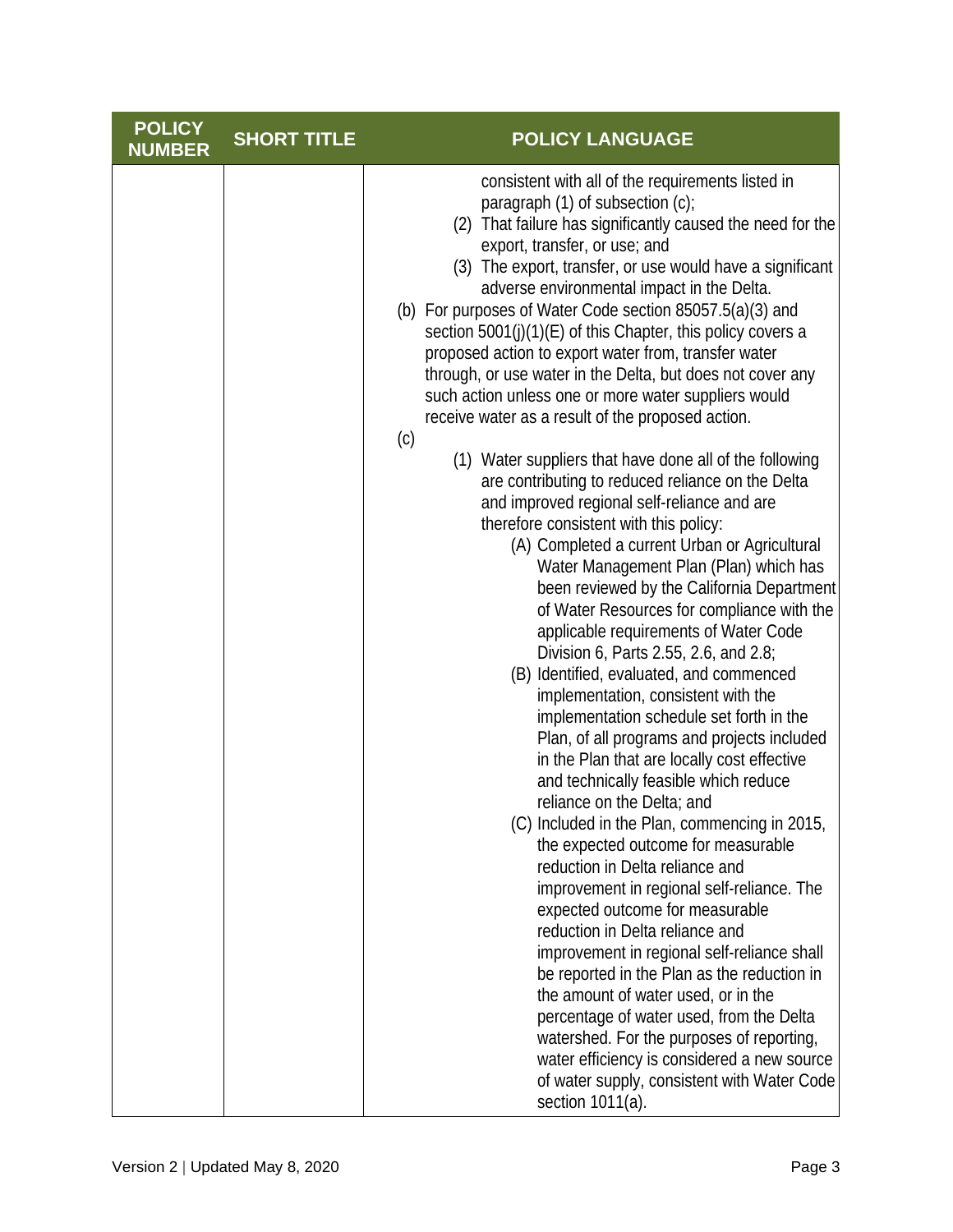| <b>POLICY</b><br><b>NUMBER</b> | <b>SHORT TITLE</b> | <b>POLICY LANGUAGE</b>                                                                                                                                                                                                                                                                                                                                                                                                                                                                                                                                                                                                                                                                                                                                                                                                                                                     |
|--------------------------------|--------------------|----------------------------------------------------------------------------------------------------------------------------------------------------------------------------------------------------------------------------------------------------------------------------------------------------------------------------------------------------------------------------------------------------------------------------------------------------------------------------------------------------------------------------------------------------------------------------------------------------------------------------------------------------------------------------------------------------------------------------------------------------------------------------------------------------------------------------------------------------------------------------|
|                                |                    | consistent with all of the requirements listed in<br>paragraph $(1)$ of subsection $(c)$ ;<br>(2) That failure has significantly caused the need for the<br>export, transfer, or use; and<br>(3) The export, transfer, or use would have a significant<br>adverse environmental impact in the Delta.<br>(b) For purposes of Water Code section 85057.5(a)(3) and<br>section 5001(j)(1)(E) of this Chapter, this policy covers a<br>proposed action to export water from, transfer water<br>through, or use water in the Delta, but does not cover any<br>such action unless one or more water suppliers would<br>receive water as a result of the proposed action.<br>(c)                                                                                                                                                                                                  |
|                                |                    | (1) Water suppliers that have done all of the following<br>are contributing to reduced reliance on the Delta<br>and improved regional self-reliance and are<br>therefore consistent with this policy:<br>(A) Completed a current Urban or Agricultural<br>Water Management Plan (Plan) which has<br>been reviewed by the California Department<br>of Water Resources for compliance with the<br>applicable requirements of Water Code<br>Division 6, Parts 2.55, 2.6, and 2.8;<br>(B) Identified, evaluated, and commenced<br>implementation, consistent with the<br>implementation schedule set forth in the<br>Plan, of all programs and projects included<br>in the Plan that are locally cost effective<br>and technically feasible which reduce<br>reliance on the Delta; and<br>(C) Included in the Plan, commencing in 2015,<br>the expected outcome for measurable |
|                                |                    | reduction in Delta reliance and<br>improvement in regional self-reliance. The<br>expected outcome for measurable<br>reduction in Delta reliance and<br>improvement in regional self-reliance shall<br>be reported in the Plan as the reduction in<br>the amount of water used, or in the<br>percentage of water used, from the Delta<br>watershed. For the purposes of reporting,<br>water efficiency is considered a new source<br>of water supply, consistent with Water Code<br>section 1011(a).                                                                                                                                                                                                                                                                                                                                                                        |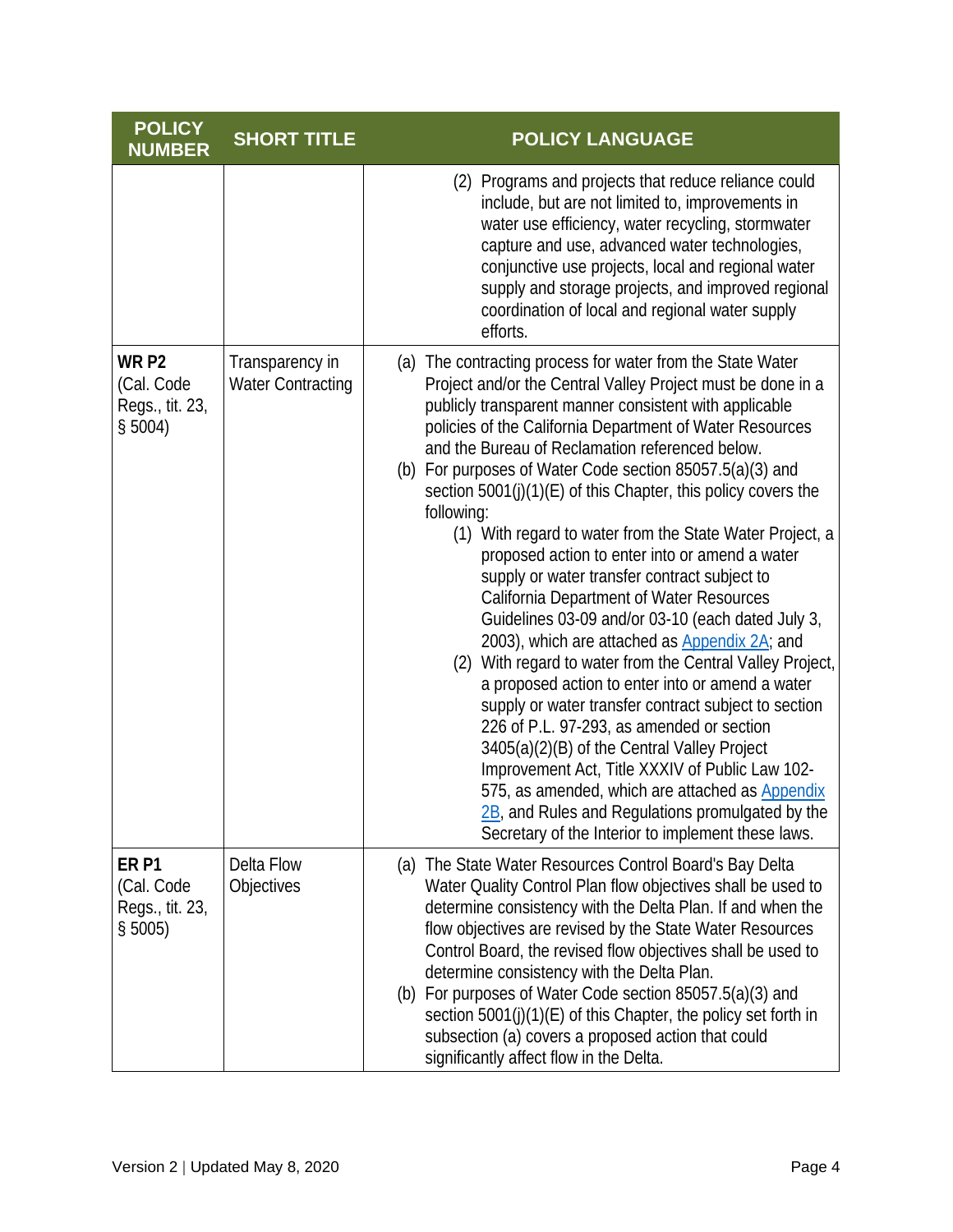| <b>POLICY</b><br><b>NUMBER</b>                               | <b>SHORT TITLE</b>                          | <b>POLICY LANGUAGE</b>                                                                                                                                                                                                                                                                                                                                                                                                                                                                                                                                                                                                                                                                                                                                                                                                                                                                                                                                                                                                                                                                                                                                                                                                                             |
|--------------------------------------------------------------|---------------------------------------------|----------------------------------------------------------------------------------------------------------------------------------------------------------------------------------------------------------------------------------------------------------------------------------------------------------------------------------------------------------------------------------------------------------------------------------------------------------------------------------------------------------------------------------------------------------------------------------------------------------------------------------------------------------------------------------------------------------------------------------------------------------------------------------------------------------------------------------------------------------------------------------------------------------------------------------------------------------------------------------------------------------------------------------------------------------------------------------------------------------------------------------------------------------------------------------------------------------------------------------------------------|
|                                                              |                                             | (2) Programs and projects that reduce reliance could<br>include, but are not limited to, improvements in<br>water use efficiency, water recycling, stormwater<br>capture and use, advanced water technologies,<br>conjunctive use projects, local and regional water<br>supply and storage projects, and improved regional<br>coordination of local and regional water supply<br>efforts.                                                                                                                                                                                                                                                                                                                                                                                                                                                                                                                                                                                                                                                                                                                                                                                                                                                          |
| WR <sub>P2</sub><br>(Cal. Code<br>Regs., tit. 23,<br>\$5004) | Transparency in<br><b>Water Contracting</b> | (a) The contracting process for water from the State Water<br>Project and/or the Central Valley Project must be done in a<br>publicly transparent manner consistent with applicable<br>policies of the California Department of Water Resources<br>and the Bureau of Reclamation referenced below.<br>(b) For purposes of Water Code section 85057.5(a)(3) and<br>section 5001(j)(1)(E) of this Chapter, this policy covers the<br>following:<br>(1) With regard to water from the State Water Project, a<br>proposed action to enter into or amend a water<br>supply or water transfer contract subject to<br>California Department of Water Resources<br>Guidelines 03-09 and/or 03-10 (each dated July 3,<br>2003), which are attached as Appendix 2A; and<br>(2) With regard to water from the Central Valley Project,<br>a proposed action to enter into or amend a water<br>supply or water transfer contract subject to section<br>226 of P.L. 97-293, as amended or section<br>3405(a)(2)(B) of the Central Valley Project<br>Improvement Act, Title XXXIV of Public Law 102-<br>575, as amended, which are attached as Appendix<br>2B, and Rules and Regulations promulgated by the<br>Secretary of the Interior to implement these laws. |
| ER <sub>P1</sub><br>(Cal. Code<br>Regs., tit. 23,<br>\$5005) | Delta Flow<br>Objectives                    | (a) The State Water Resources Control Board's Bay Delta<br>Water Quality Control Plan flow objectives shall be used to<br>determine consistency with the Delta Plan. If and when the<br>flow objectives are revised by the State Water Resources<br>Control Board, the revised flow objectives shall be used to<br>determine consistency with the Delta Plan.<br>(b) For purposes of Water Code section 85057.5(a)(3) and<br>section 5001(j)(1)(E) of this Chapter, the policy set forth in<br>subsection (a) covers a proposed action that could<br>significantly affect flow in the Delta.                                                                                                                                                                                                                                                                                                                                                                                                                                                                                                                                                                                                                                                       |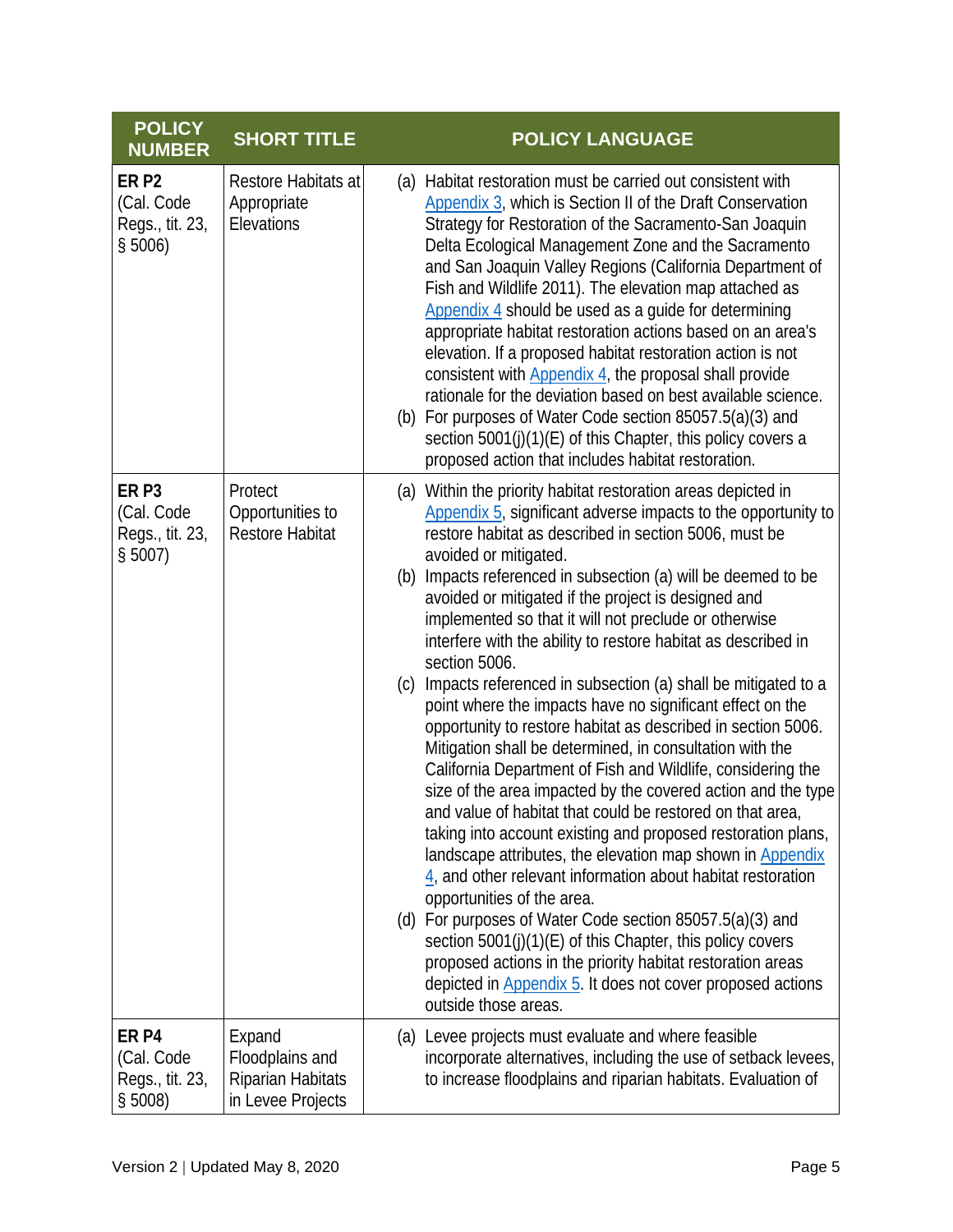| <b>POLICY</b><br><b>NUMBER</b>                                 | <b>SHORT TITLE</b>                                                  | <b>POLICY LANGUAGE</b>                                                                                                                                                                                                                                                                                                                                                                                                                                                                                                                                                                                                                                                                                                                                                                                                                                                                                                                                                                                                                                                                                                                                                                                                                                                                                                                                                                                                                                           |
|----------------------------------------------------------------|---------------------------------------------------------------------|------------------------------------------------------------------------------------------------------------------------------------------------------------------------------------------------------------------------------------------------------------------------------------------------------------------------------------------------------------------------------------------------------------------------------------------------------------------------------------------------------------------------------------------------------------------------------------------------------------------------------------------------------------------------------------------------------------------------------------------------------------------------------------------------------------------------------------------------------------------------------------------------------------------------------------------------------------------------------------------------------------------------------------------------------------------------------------------------------------------------------------------------------------------------------------------------------------------------------------------------------------------------------------------------------------------------------------------------------------------------------------------------------------------------------------------------------------------|
| ER <sub>P2</sub><br>(Cal. Code<br>Regs., tit. 23,<br>\$5006)   | Restore Habitats at<br>Appropriate<br>Elevations                    | (a) Habitat restoration must be carried out consistent with<br>Appendix 3, which is Section II of the Draft Conservation<br>Strategy for Restoration of the Sacramento-San Joaquin<br>Delta Ecological Management Zone and the Sacramento<br>and San Joaquin Valley Regions (California Department of<br>Fish and Wildlife 2011). The elevation map attached as<br>Appendix 4 should be used as a guide for determining<br>appropriate habitat restoration actions based on an area's<br>elevation. If a proposed habitat restoration action is not<br>consistent with Appendix 4, the proposal shall provide<br>rationale for the deviation based on best available science.<br>(b) For purposes of Water Code section 85057.5(a)(3) and<br>section 5001(j)(1)(E) of this Chapter, this policy covers a<br>proposed action that includes habitat restoration.                                                                                                                                                                                                                                                                                                                                                                                                                                                                                                                                                                                                   |
| ER <sub>P3</sub><br>(Cal. Code<br>Regs., tit. 23,<br>$$5007$ ) | Protect<br>Opportunities to<br><b>Restore Habitat</b>               | (a) Within the priority habitat restoration areas depicted in<br>Appendix 5, significant adverse impacts to the opportunity to<br>restore habitat as described in section 5006, must be<br>avoided or mitigated.<br>(b) Impacts referenced in subsection (a) will be deemed to be<br>avoided or mitigated if the project is designed and<br>implemented so that it will not preclude or otherwise<br>interfere with the ability to restore habitat as described in<br>section 5006.<br>(c) Impacts referenced in subsection (a) shall be mitigated to a<br>point where the impacts have no significant effect on the<br>opportunity to restore habitat as described in section 5006.<br>Mitigation shall be determined, in consultation with the<br>California Department of Fish and Wildlife, considering the<br>size of the area impacted by the covered action and the type<br>and value of habitat that could be restored on that area,<br>taking into account existing and proposed restoration plans,<br>landscape attributes, the elevation map shown in Appendix<br>$\frac{4}{3}$ , and other relevant information about habitat restoration<br>opportunities of the area.<br>(d) For purposes of Water Code section 85057.5(a)(3) and<br>section 5001(j)(1)(E) of this Chapter, this policy covers<br>proposed actions in the priority habitat restoration areas<br>depicted in Appendix 5. It does not cover proposed actions<br>outside those areas. |
| ER <sub>P4</sub><br>(Cal. Code<br>Regs., tit. 23,<br>\$5008)   | Expand<br>Floodplains and<br>Riparian Habitats<br>in Levee Projects | (a) Levee projects must evaluate and where feasible<br>incorporate alternatives, including the use of setback levees,<br>to increase floodplains and riparian habitats. Evaluation of                                                                                                                                                                                                                                                                                                                                                                                                                                                                                                                                                                                                                                                                                                                                                                                                                                                                                                                                                                                                                                                                                                                                                                                                                                                                            |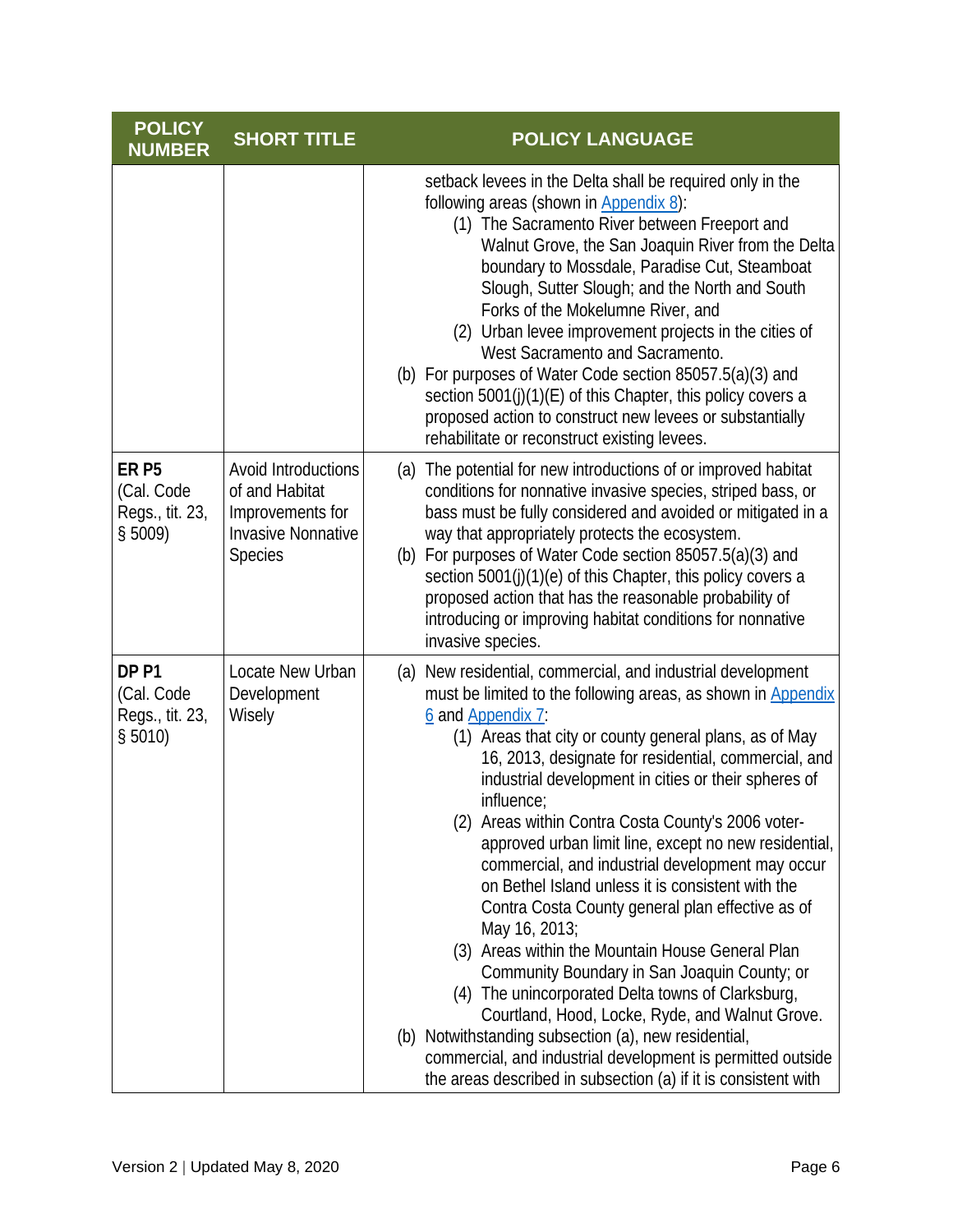| <b>POLICY</b><br><b>NUMBER</b>                                 | <b>SHORT TITLE</b>                                                                                       | <b>POLICY LANGUAGE</b>                                                                                                                                                                                                                                                                                                                                                                                                                                                                                                                                                                                                                                                                                                                                                                                                                                                                                                                                                                                                                     |
|----------------------------------------------------------------|----------------------------------------------------------------------------------------------------------|--------------------------------------------------------------------------------------------------------------------------------------------------------------------------------------------------------------------------------------------------------------------------------------------------------------------------------------------------------------------------------------------------------------------------------------------------------------------------------------------------------------------------------------------------------------------------------------------------------------------------------------------------------------------------------------------------------------------------------------------------------------------------------------------------------------------------------------------------------------------------------------------------------------------------------------------------------------------------------------------------------------------------------------------|
|                                                                |                                                                                                          | setback levees in the Delta shall be required only in the<br>following areas (shown in Appendix 8):<br>(1) The Sacramento River between Freeport and<br>Walnut Grove, the San Joaquin River from the Delta<br>boundary to Mossdale, Paradise Cut, Steamboat<br>Slough, Sutter Slough; and the North and South<br>Forks of the Mokelumne River, and<br>(2) Urban levee improvement projects in the cities of<br>West Sacramento and Sacramento.<br>(b) For purposes of Water Code section 85057.5(a)(3) and<br>section 5001(j)(1)(E) of this Chapter, this policy covers a<br>proposed action to construct new levees or substantially<br>rehabilitate or reconstruct existing levees.                                                                                                                                                                                                                                                                                                                                                      |
| ER <sub>P5</sub><br>(Cal. Code<br>Regs., tit. 23,<br>$$5009$ ) | Avoid Introductions<br>of and Habitat<br>Improvements for<br><b>Invasive Nonnative</b><br><b>Species</b> | (a) The potential for new introductions of or improved habitat<br>conditions for nonnative invasive species, striped bass, or<br>bass must be fully considered and avoided or mitigated in a<br>way that appropriately protects the ecosystem.<br>(b) For purposes of Water Code section 85057.5(a)(3) and<br>section 5001(j)(1)(e) of this Chapter, this policy covers a<br>proposed action that has the reasonable probability of<br>introducing or improving habitat conditions for nonnative<br>invasive species.                                                                                                                                                                                                                                                                                                                                                                                                                                                                                                                      |
| DP <sub>P1</sub><br>(Cal. Code<br>Regs., tit. 23,<br>$$5010$ ) | Locate New Urban<br>Development<br>Wisely                                                                | (a) New residential, commercial, and industrial development<br>must be limited to the following areas, as shown in Appendix<br>6 and Appendix 7:<br>(1) Areas that city or county general plans, as of May<br>16, 2013, designate for residential, commercial, and<br>industrial development in cities or their spheres of<br>influence;<br>(2) Areas within Contra Costa County's 2006 voter-<br>approved urban limit line, except no new residential,<br>commercial, and industrial development may occur<br>on Bethel Island unless it is consistent with the<br>Contra Costa County general plan effective as of<br>May 16, 2013;<br>(3) Areas within the Mountain House General Plan<br>Community Boundary in San Joaquin County; or<br>(4) The unincorporated Delta towns of Clarksburg,<br>Courtland, Hood, Locke, Ryde, and Walnut Grove.<br>(b) Notwithstanding subsection (a), new residential,<br>commercial, and industrial development is permitted outside<br>the areas described in subsection (a) if it is consistent with |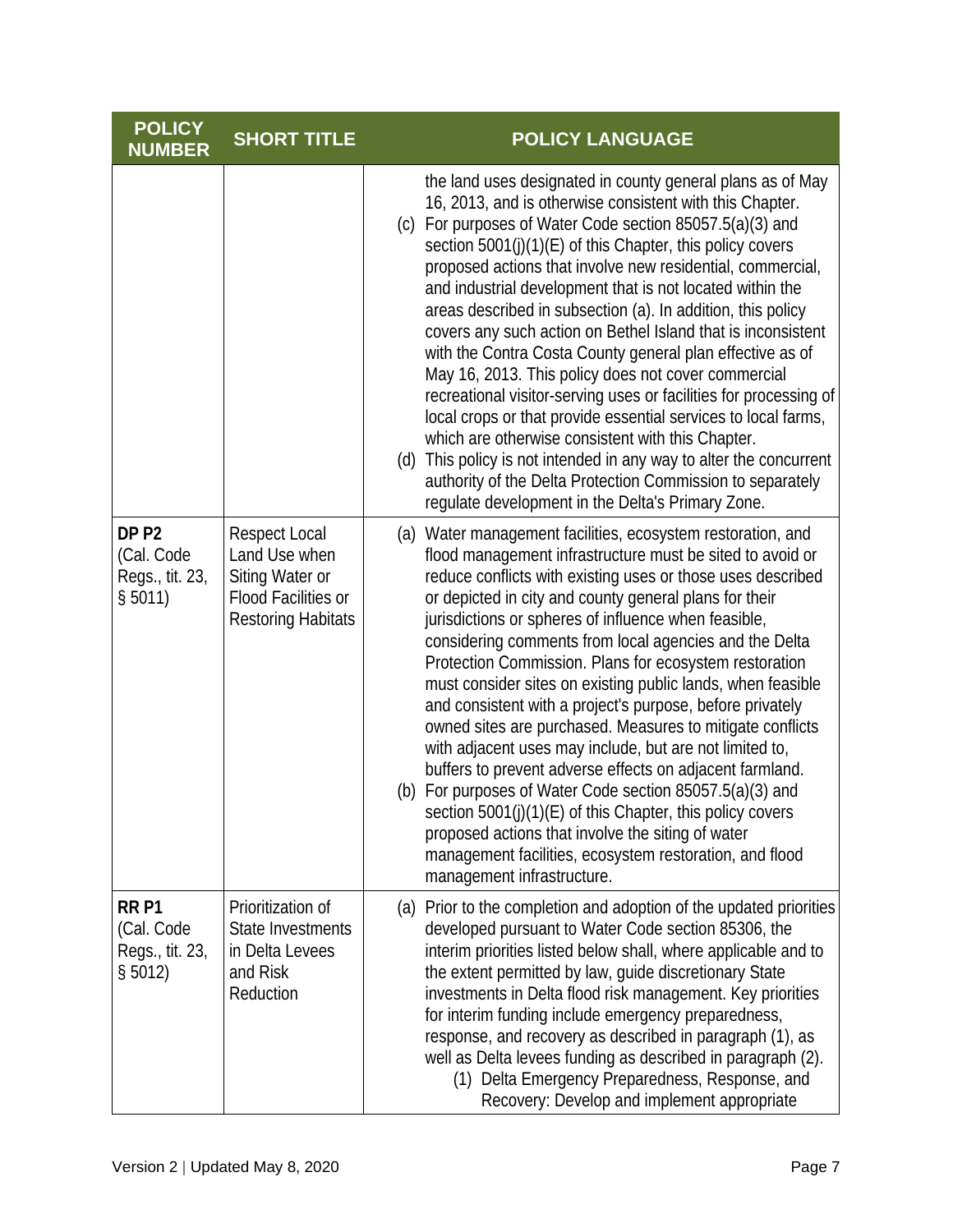| <b>POLICY</b><br><b>NUMBER</b>                               | <b>SHORT TITLE</b>                                                                                                  | <b>POLICY LANGUAGE</b>                                                                                                                                                                                                                                                                                                                                                                                                                                                                                                                                                                                                                                                                                                                                                                                                                                                                                                                                                                                               |
|--------------------------------------------------------------|---------------------------------------------------------------------------------------------------------------------|----------------------------------------------------------------------------------------------------------------------------------------------------------------------------------------------------------------------------------------------------------------------------------------------------------------------------------------------------------------------------------------------------------------------------------------------------------------------------------------------------------------------------------------------------------------------------------------------------------------------------------------------------------------------------------------------------------------------------------------------------------------------------------------------------------------------------------------------------------------------------------------------------------------------------------------------------------------------------------------------------------------------|
|                                                              |                                                                                                                     | the land uses designated in county general plans as of May<br>16, 2013, and is otherwise consistent with this Chapter.<br>(c) For purposes of Water Code section 85057.5(a)(3) and<br>section 5001(j)(1)(E) of this Chapter, this policy covers<br>proposed actions that involve new residential, commercial,<br>and industrial development that is not located within the<br>areas described in subsection (a). In addition, this policy<br>covers any such action on Bethel Island that is inconsistent<br>with the Contra Costa County general plan effective as of<br>May 16, 2013. This policy does not cover commercial<br>recreational visitor-serving uses or facilities for processing of<br>local crops or that provide essential services to local farms,<br>which are otherwise consistent with this Chapter.<br>(d) This policy is not intended in any way to alter the concurrent<br>authority of the Delta Protection Commission to separately<br>regulate development in the Delta's Primary Zone.   |
| DP <sub>P2</sub><br>(Cal. Code<br>Regs., tit. 23,<br>\$5011) | <b>Respect Local</b><br>Land Use when<br>Siting Water or<br><b>Flood Facilities or</b><br><b>Restoring Habitats</b> | (a) Water management facilities, ecosystem restoration, and<br>flood management infrastructure must be sited to avoid or<br>reduce conflicts with existing uses or those uses described<br>or depicted in city and county general plans for their<br>jurisdictions or spheres of influence when feasible,<br>considering comments from local agencies and the Delta<br>Protection Commission. Plans for ecosystem restoration<br>must consider sites on existing public lands, when feasible<br>and consistent with a project's purpose, before privately<br>owned sites are purchased. Measures to mitigate conflicts<br>with adjacent uses may include, but are not limited to,<br>buffers to prevent adverse effects on adjacent farmland.<br>(b) For purposes of Water Code section 85057.5(a)(3) and<br>section 5001(j)(1)(E) of this Chapter, this policy covers<br>proposed actions that involve the siting of water<br>management facilities, ecosystem restoration, and flood<br>management infrastructure. |
| RR <sub>P1</sub><br>(Cal. Code<br>Regs., tit. 23,<br>\$5012) | Prioritization of<br>State Investments<br>in Delta Levees<br>and Risk<br>Reduction                                  | (a) Prior to the completion and adoption of the updated priorities<br>developed pursuant to Water Code section 85306, the<br>interim priorities listed below shall, where applicable and to<br>the extent permitted by law, guide discretionary State<br>investments in Delta flood risk management. Key priorities<br>for interim funding include emergency preparedness,<br>response, and recovery as described in paragraph (1), as<br>well as Delta levees funding as described in paragraph (2).<br>(1) Delta Emergency Preparedness, Response, and<br>Recovery: Develop and implement appropriate                                                                                                                                                                                                                                                                                                                                                                                                              |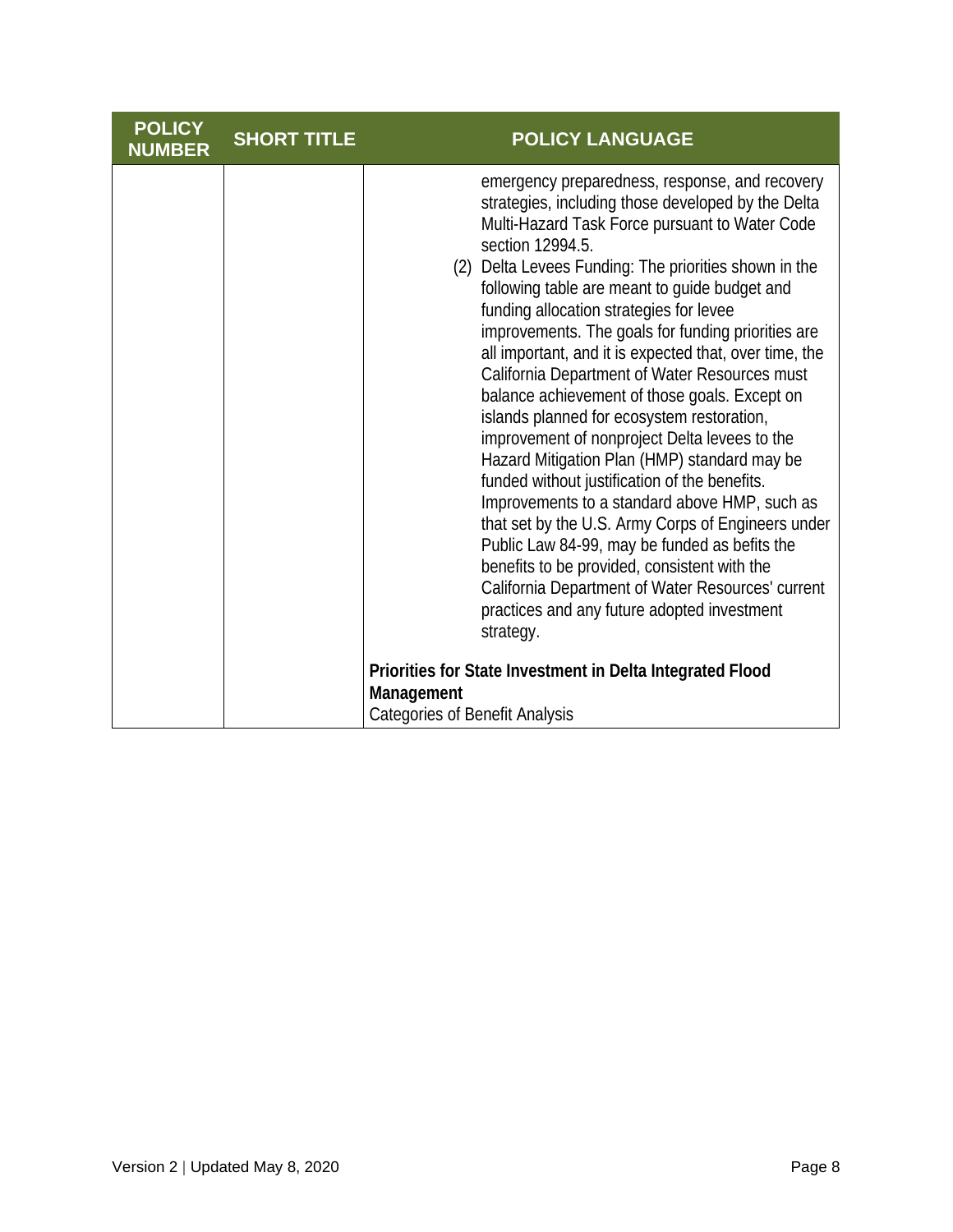| <b>POLICY</b><br><b>NUMBER</b> | <b>SHORT TITLE</b> | <b>POLICY LANGUAGE</b>                                                                                                                                                                                                                                                                                                                                                                                                                                                                                                                                                                                                                                                                                                                                                                                                                                                                                                                                                                                                                                                                                                                                                                         |
|--------------------------------|--------------------|------------------------------------------------------------------------------------------------------------------------------------------------------------------------------------------------------------------------------------------------------------------------------------------------------------------------------------------------------------------------------------------------------------------------------------------------------------------------------------------------------------------------------------------------------------------------------------------------------------------------------------------------------------------------------------------------------------------------------------------------------------------------------------------------------------------------------------------------------------------------------------------------------------------------------------------------------------------------------------------------------------------------------------------------------------------------------------------------------------------------------------------------------------------------------------------------|
|                                |                    | emergency preparedness, response, and recovery<br>strategies, including those developed by the Delta<br>Multi-Hazard Task Force pursuant to Water Code<br>section 12994.5.<br>(2) Delta Levees Funding: The priorities shown in the<br>following table are meant to guide budget and<br>funding allocation strategies for levee<br>improvements. The goals for funding priorities are<br>all important, and it is expected that, over time, the<br>California Department of Water Resources must<br>balance achievement of those goals. Except on<br>islands planned for ecosystem restoration,<br>improvement of nonproject Delta levees to the<br>Hazard Mitigation Plan (HMP) standard may be<br>funded without justification of the benefits.<br>Improvements to a standard above HMP, such as<br>that set by the U.S. Army Corps of Engineers under<br>Public Law 84-99, may be funded as befits the<br>benefits to be provided, consistent with the<br>California Department of Water Resources' current<br>practices and any future adopted investment<br>strategy.<br>Priorities for State Investment in Delta Integrated Flood<br>Management<br><b>Categories of Benefit Analysis</b> |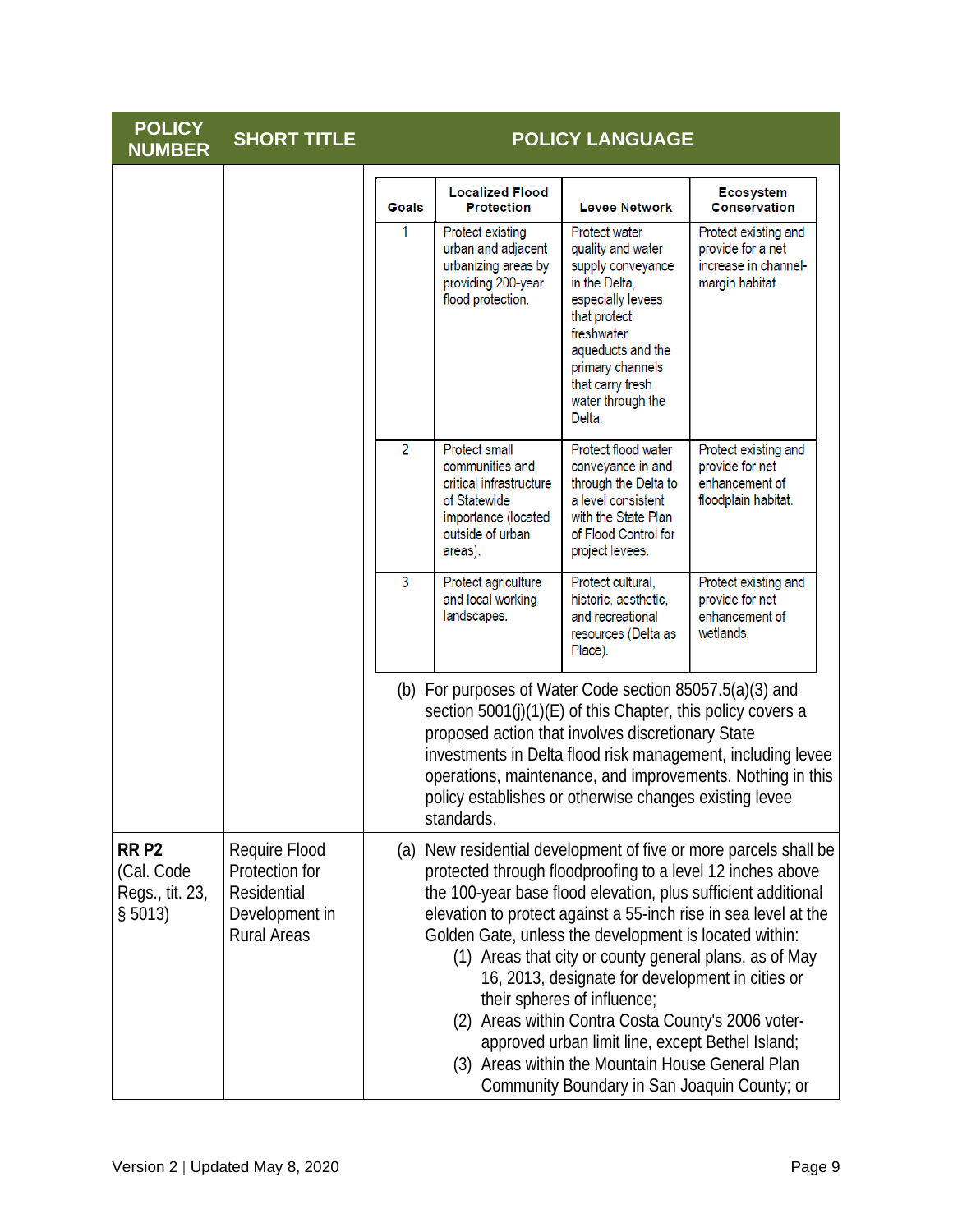| <b>POLICY</b><br><b>NUMBER</b>                               | <b>SHORT TITLE</b>                                                                     |                                                                                                          |                                                                                                                                                                                                                                | <b>POLICY LANGUAGE</b>                                                                                                                                                                                                                                                                                                                              |                                                                                                                                                                                                                                                                                                                              |
|--------------------------------------------------------------|----------------------------------------------------------------------------------------|----------------------------------------------------------------------------------------------------------|--------------------------------------------------------------------------------------------------------------------------------------------------------------------------------------------------------------------------------|-----------------------------------------------------------------------------------------------------------------------------------------------------------------------------------------------------------------------------------------------------------------------------------------------------------------------------------------------------|------------------------------------------------------------------------------------------------------------------------------------------------------------------------------------------------------------------------------------------------------------------------------------------------------------------------------|
|                                                              |                                                                                        | Goals                                                                                                    | <b>Localized Flood</b><br><b>Protection</b>                                                                                                                                                                                    | <b>Levee Network</b>                                                                                                                                                                                                                                                                                                                                | <b>Ecosystem</b><br><b>Conservation</b>                                                                                                                                                                                                                                                                                      |
|                                                              | 1                                                                                      | Protect existing<br>urban and adjacent<br>urbanizing areas by<br>providing 200-year<br>flood protection. | <b>Protect water</b><br>quality and water<br>supply conveyance<br>in the Delta,<br>especially levees<br>that protect<br>freshwater<br>aqueducts and the<br>primary channels<br>that carry fresh<br>water through the<br>Delta. | Protect existing and<br>provide for a net<br>increase in channel-<br>margin habitat.                                                                                                                                                                                                                                                                |                                                                                                                                                                                                                                                                                                                              |
|                                                              |                                                                                        | 2                                                                                                        | <b>Protect small</b><br>communities and<br>critical infrastructure<br>of Statewide<br>importance (located<br>outside of urban<br>areas).                                                                                       | Protect flood water<br>conveyance in and<br>through the Delta to<br>a level consistent<br>with the State Plan<br>of Flood Control for<br>project levees.                                                                                                                                                                                            | Protect existing and<br>provide for net<br>enhancement of<br>floodplain habitat.                                                                                                                                                                                                                                             |
|                                                              |                                                                                        | 3                                                                                                        | Protect agriculture<br>and local working<br>landscapes.                                                                                                                                                                        | Protect cultural,<br>historic, aesthetic,<br>and recreational<br>resources (Delta as<br>Place).                                                                                                                                                                                                                                                     | Protect existing and<br>provide for net<br>enhancement of<br>wetlands.                                                                                                                                                                                                                                                       |
|                                                              |                                                                                        |                                                                                                          | standards.                                                                                                                                                                                                                     | (b) For purposes of Water Code section $85057.5(a)(3)$ and<br>section 5001(j)(1)(E) of this Chapter, this policy covers a<br>proposed action that involves discretionary State<br>policy establishes or otherwise changes existing levee                                                                                                            | investments in Delta flood risk management, including levee<br>operations, maintenance, and improvements. Nothing in this                                                                                                                                                                                                    |
| RR <sub>P2</sub><br>(Cal. Code<br>Regs., tit. 23,<br>\$5013) | Require Flood<br>Protection for<br>Residential<br>Development in<br><b>Rural Areas</b> |                                                                                                          | (2)                                                                                                                                                                                                                            | Golden Gate, unless the development is located within:<br>16, 2013, designate for development in cities or<br>their spheres of influence;<br>Areas within Contra Costa County's 2006 voter-<br>approved urban limit line, except Bethel Island;<br>(3) Areas within the Mountain House General Plan<br>Community Boundary in San Joaquin County; or | (a) New residential development of five or more parcels shall be<br>protected through floodproofing to a level 12 inches above<br>the 100-year base flood elevation, plus sufficient additional<br>elevation to protect against a 55-inch rise in sea level at the<br>(1) Areas that city or county general plans, as of May |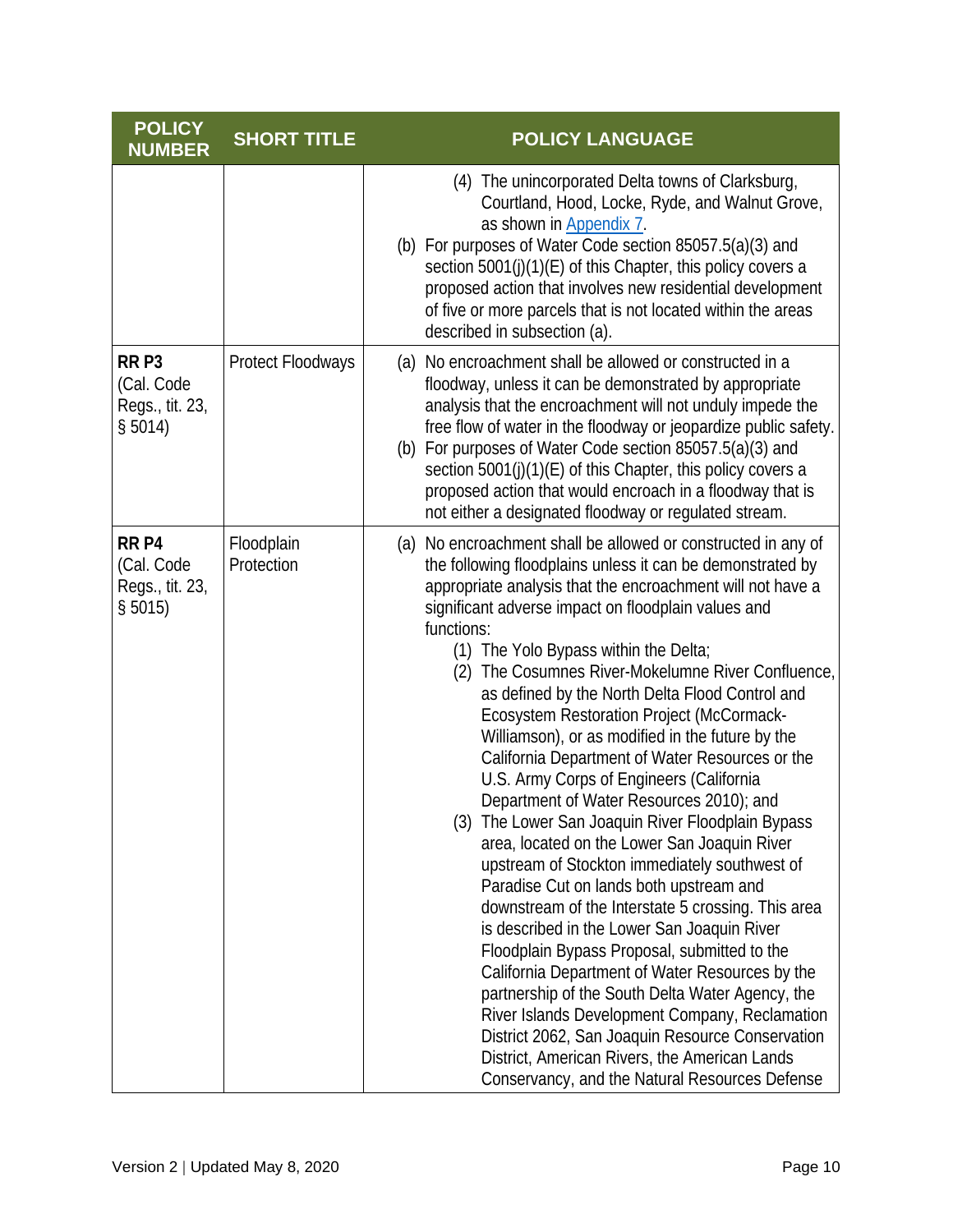| <b>POLICY</b><br><b>NUMBER</b>                               | <b>SHORT TITLE</b>       | <b>POLICY LANGUAGE</b>                                                                                                                                                                                                                                                                                                                                                                                                                                                                                                                                                                                                                                                                                                                                                                                                                                                                                                                                                                                                                                                                                                                                                                                                                                                                                                             |
|--------------------------------------------------------------|--------------------------|------------------------------------------------------------------------------------------------------------------------------------------------------------------------------------------------------------------------------------------------------------------------------------------------------------------------------------------------------------------------------------------------------------------------------------------------------------------------------------------------------------------------------------------------------------------------------------------------------------------------------------------------------------------------------------------------------------------------------------------------------------------------------------------------------------------------------------------------------------------------------------------------------------------------------------------------------------------------------------------------------------------------------------------------------------------------------------------------------------------------------------------------------------------------------------------------------------------------------------------------------------------------------------------------------------------------------------|
|                                                              |                          | (4) The unincorporated Delta towns of Clarksburg,<br>Courtland, Hood, Locke, Ryde, and Walnut Grove,<br>as shown in Appendix 7.<br>(b) For purposes of Water Code section 85057.5(a)(3) and<br>section 5001(j)(1)(E) of this Chapter, this policy covers a<br>proposed action that involves new residential development<br>of five or more parcels that is not located within the areas<br>described in subsection (a).                                                                                                                                                                                                                                                                                                                                                                                                                                                                                                                                                                                                                                                                                                                                                                                                                                                                                                            |
| RR <sub>P3</sub><br>(Cal. Code<br>Regs., tit. 23,<br>\$5014) | <b>Protect Floodways</b> | (a) No encroachment shall be allowed or constructed in a<br>floodway, unless it can be demonstrated by appropriate<br>analysis that the encroachment will not unduly impede the<br>free flow of water in the floodway or jeopardize public safety.<br>(b) For purposes of Water Code section 85057.5(a)(3) and<br>section 5001(j)(1)(E) of this Chapter, this policy covers a<br>proposed action that would encroach in a floodway that is<br>not either a designated floodway or regulated stream.                                                                                                                                                                                                                                                                                                                                                                                                                                                                                                                                                                                                                                                                                                                                                                                                                                |
| RR <sub>P4</sub><br>(Cal. Code<br>Regs., tit. 23,<br>\$5015) | Floodplain<br>Protection | (a) No encroachment shall be allowed or constructed in any of<br>the following floodplains unless it can be demonstrated by<br>appropriate analysis that the encroachment will not have a<br>significant adverse impact on floodplain values and<br>functions:<br>(1) The Yolo Bypass within the Delta;<br>(2) The Cosumnes River-Mokelumne River Confluence,<br>as defined by the North Delta Flood Control and<br>Ecosystem Restoration Project (McCormack-<br>Williamson), or as modified in the future by the<br>California Department of Water Resources or the<br>U.S. Army Corps of Engineers (California<br>Department of Water Resources 2010); and<br>(3) The Lower San Joaquin River Floodplain Bypass<br>area, located on the Lower San Joaquin River<br>upstream of Stockton immediately southwest of<br>Paradise Cut on lands both upstream and<br>downstream of the Interstate 5 crossing. This area<br>is described in the Lower San Joaquin River<br>Floodplain Bypass Proposal, submitted to the<br>California Department of Water Resources by the<br>partnership of the South Delta Water Agency, the<br>River Islands Development Company, Reclamation<br>District 2062, San Joaquin Resource Conservation<br>District, American Rivers, the American Lands<br>Conservancy, and the Natural Resources Defense |